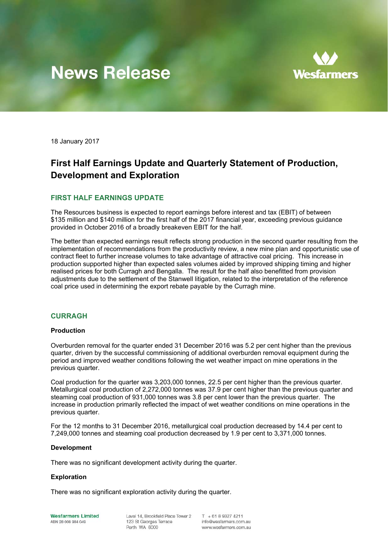# **News Release**



18 January 2017

## **First Half Earnings Update and Quarterly Statement of Production, Development and Exploration**

#### **FIRST HALF EARNINGS UPDATE**

The Resources business is expected to report earnings before interest and tax (EBIT) of between \$135 million and \$140 million for the first half of the 2017 financial year, exceeding previous guidance provided in October 2016 of a broadly breakeven EBIT for the half.

The better than expected earnings result reflects strong production in the second quarter resulting from the implementation of recommendations from the productivity review, a new mine plan and opportunistic use of contract fleet to further increase volumes to take advantage of attractive coal pricing. This increase in production supported higher than expected sales volumes aided by improved shipping timing and higher realised prices for both Curragh and Bengalla. The result for the half also benefitted from provision adjustments due to the settlement of the Stanwell litigation, related to the interpretation of the reference coal price used in determining the export rebate payable by the Curragh mine.

#### **CURRAGH**

#### **Production**

Overburden removal for the quarter ended 31 December 2016 was 5.2 per cent higher than the previous quarter, driven by the successful commissioning of additional overburden removal equipment during the period and improved weather conditions following the wet weather impact on mine operations in the previous quarter.

Coal production for the quarter was 3,203,000 tonnes, 22.5 per cent higher than the previous quarter. Metallurgical coal production of 2,272,000 tonnes was 37.9 per cent higher than the previous quarter and steaming coal production of 931,000 tonnes was 3.8 per cent lower than the previous quarter. The increase in production primarily reflected the impact of wet weather conditions on mine operations in the previous quarter.

For the 12 months to 31 December 2016, metallurgical coal production decreased by 14.4 per cent to 7,249,000 tonnes and steaming coal production decreased by 1.9 per cent to 3,371,000 tonnes.

#### **Development**

There was no significant development activity during the quarter.

#### **Exploration**

There was no significant exploration activity during the quarter.

**Wesfarmers Limited** ABN 28 008 984 049

Level 14, Brookfield Place Tower 2 123 St Georges Terrace Perth WA 6000

 $T + 61893274211$ info@wesfarmers.com.au www.wesfarmers.com.au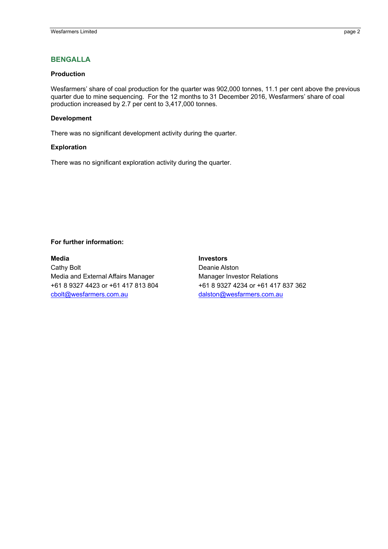## **BENGALLA**

#### **Production**

Wesfarmers' share of coal production for the quarter was 902,000 tonnes, 11.1 per cent above the previous quarter due to mine sequencing. For the 12 months to 31 December 2016, Wesfarmers' share of coal production increased by 2.7 per cent to 3,417,000 tonnes.

#### **Development**

There was no significant development activity during the quarter.

#### **Exploration**

There was no significant exploration activity during the quarter.

#### **For further information:**

**Media Investors** Cathy Bolt **Deanie Alston** Media and External Affairs Manager Manager Manager Investor Relations +61 8 9327 4423 or +61 417 813 804 +61 8 9327 4234 or +61 417 837 362 cbolt@wesfarmers.com.au dalston@wesfarmers.com.au